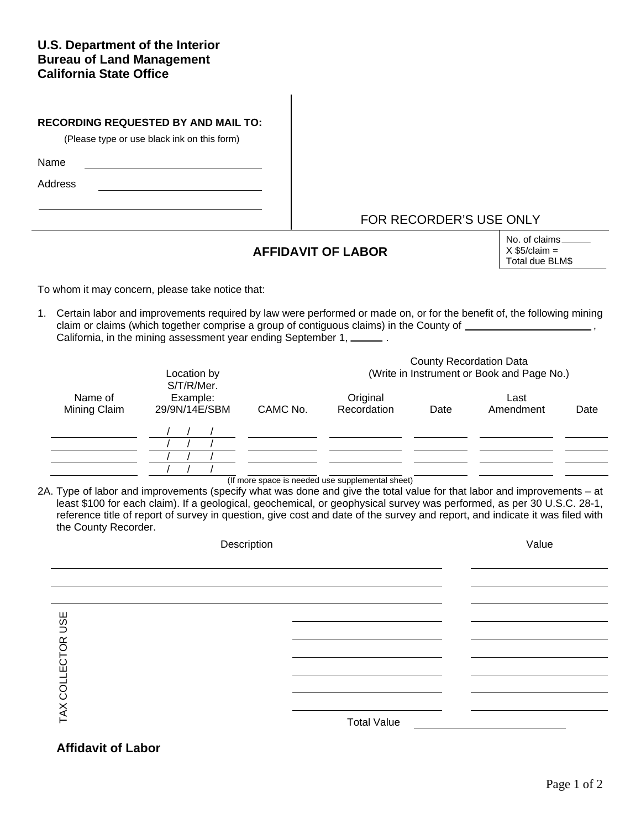## **U.S. Department of the Interior Bureau of Land Management California State Office**

| <b>RECORDING REQUESTED BY AND MAIL TO:</b><br>(Please type or use black ink on this form) |  |  |  |  |  |  |  |
|-------------------------------------------------------------------------------------------|--|--|--|--|--|--|--|
| Name                                                                                      |  |  |  |  |  |  |  |
| Address                                                                                   |  |  |  |  |  |  |  |
|                                                                                           |  |  |  |  |  |  |  |

## FOR RECORDER'S USE ONLY

## **AFFIDAVIT OF LABOR**

No. of claims  $X$  \$5/claim = Total due BLM\$

To whom it may concern, please take notice that:

1. Certain labor and improvements required by law were performed or made on, or for the benefit of, the following mining claim or claims (which together comprise a group of contiguous claims) in the County of  $\frac{1}{\sqrt{1-\frac{1}{n}}\sqrt{1-\frac{1}{n}}\sqrt{1-\frac{1}{n}}}$ California, in the mining assessment year ending September 1, \_\_\_\_\_\_\_.

| Location by<br>S/T/R/Mer. |                           |          | <b>County Recordation Data</b><br>(Write in Instrument or Book and Page No.) |      |                   |      |  |  |
|---------------------------|---------------------------|----------|------------------------------------------------------------------------------|------|-------------------|------|--|--|
| Name of<br>Mining Claim   | Example:<br>29/9N/14E/SBM | CAMC No. | Original<br>Recordation                                                      | Date | Last<br>Amendment | Date |  |  |
|                           |                           |          |                                                                              |      |                   |      |  |  |
|                           |                           |          |                                                                              |      |                   |      |  |  |

(If more space is needed use supplemental sheet)

2A. Type of labor and improvements (specify what was done and give the total value for that labor and improvements – at least \$100 for each claim). If a geological, geochemical, or geophysical survey was performed, as per 30 U.S.C. 28-1, reference title of report of survey in question, give cost and date of the survey and report, and indicate it was filed with the County Recorder.

| Description                           | Value              |  |
|---------------------------------------|--------------------|--|
|                                       |                    |  |
|                                       |                    |  |
| <b>USE</b><br>COLLECTOR<br><b>TAX</b> | <b>Total Value</b> |  |

## **Affidavit of Labor**